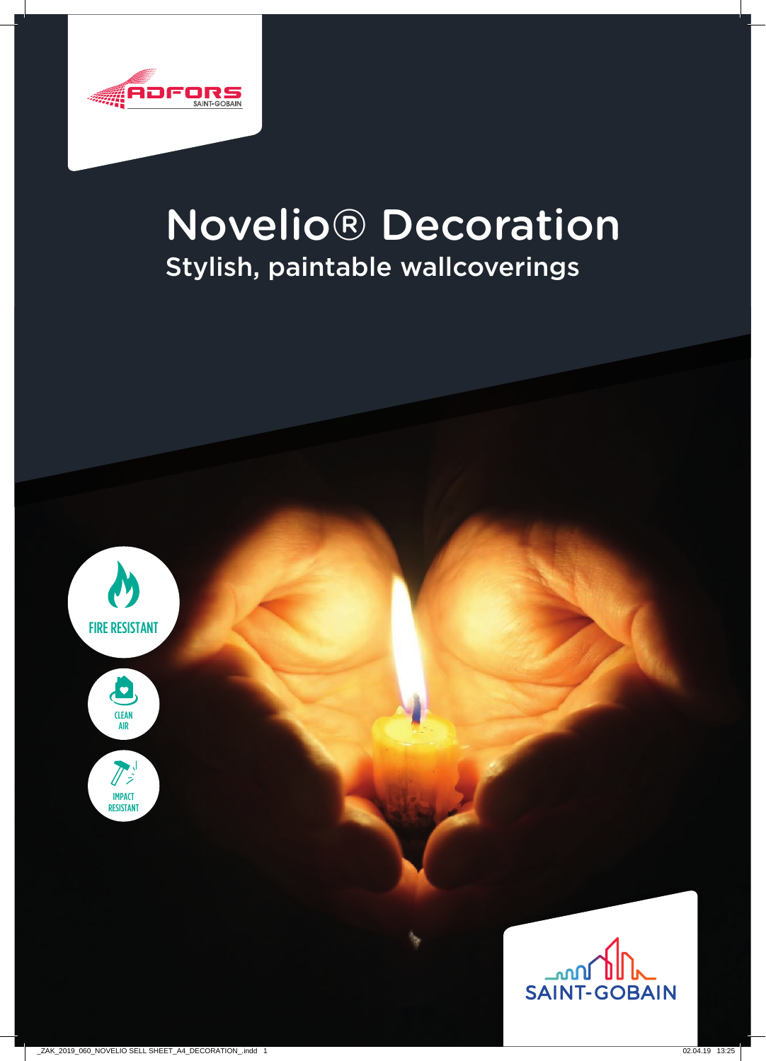

# Novelio® Decoration Stylish, paintable wallcoverings